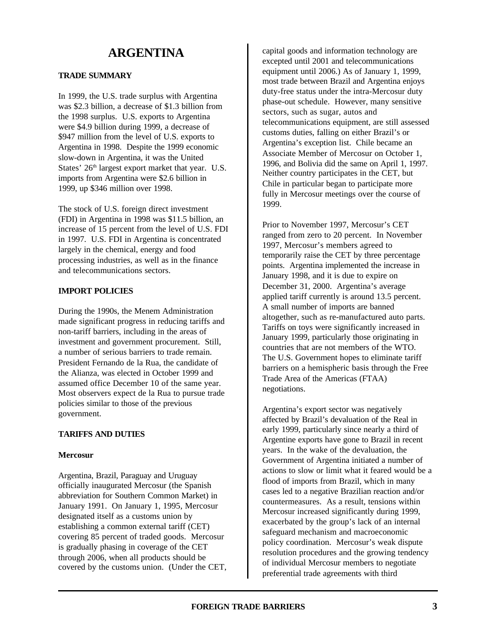# **ARGENTINA**

# **TRADE SUMMARY**

In 1999, the U.S. trade surplus with Argentina was \$2.3 billion, a decrease of \$1.3 billion from the 1998 surplus. U.S. exports to Argentina were \$4.9 billion during 1999, a decrease of \$947 million from the level of U.S. exports to Argentina in 1998. Despite the 1999 economic slow-down in Argentina, it was the United States'  $26<sup>th</sup>$  largest export market that year. U.S. imports from Argentina were \$2.6 billion in 1999, up \$346 million over 1998.

The stock of U.S. foreign direct investment (FDI) in Argentina in 1998 was \$11.5 billion, an increase of 15 percent from the level of U.S. FDI in 1997. U.S. FDI in Argentina is concentrated largely in the chemical, energy and food processing industries, as well as in the finance and telecommunications sectors.

## **IMPORT POLICIES**

During the 1990s, the Menem Administration made significant progress in reducing tariffs and non-tariff barriers, including in the areas of investment and government procurement. Still, a number of serious barriers to trade remain. President Fernando de la Rua, the candidate of the Alianza, was elected in October 1999 and assumed office December 10 of the same year. Most observers expect de la Rua to pursue trade policies similar to those of the previous government.

## **TARIFFS AND DUTIES**

## **Mercosur**

Argentina, Brazil, Paraguay and Uruguay officially inaugurated Mercosur (the Spanish abbreviation for Southern Common Market) in January 1991. On January 1, 1995, Mercosur designated itself as a customs union by establishing a common external tariff (CET) covering 85 percent of traded goods. Mercosur is gradually phasing in coverage of the CET through 2006, when all products should be covered by the customs union. (Under the CET, capital goods and information technology are excepted until 2001 and telecommunications equipment until 2006.) As of January 1, 1999, most trade between Brazil and Argentina enjoys duty-free status under the intra-Mercosur duty phase-out schedule. However, many sensitive sectors, such as sugar, autos and telecommunications equipment, are still assessed customs duties, falling on either Brazil's or Argentina's exception list. Chile became an Associate Member of Mercosur on October 1, 1996, and Bolivia did the same on April 1, 1997. Neither country participates in the CET, but Chile in particular began to participate more fully in Mercosur meetings over the course of 1999.

Prior to November 1997, Mercosur's CET ranged from zero to 20 percent. In November 1997, Mercosur's members agreed to temporarily raise the CET by three percentage points. Argentina implemented the increase in January 1998, and it is due to expire on December 31, 2000. Argentina's average applied tariff currently is around 13.5 percent. A small number of imports are banned altogether, such as re-manufactured auto parts. Tariffs on toys were significantly increased in January 1999, particularly those originating in countries that are not members of the WTO. The U.S. Government hopes to eliminate tariff barriers on a hemispheric basis through the Free Trade Area of the Americas (FTAA) negotiations.

Argentina's export sector was negatively affected by Brazil's devaluation of the Real in early 1999, particularly since nearly a third of Argentine exports have gone to Brazil in recent years. In the wake of the devaluation, the Government of Argentina initiated a number of actions to slow or limit what it feared would be a flood of imports from Brazil, which in many cases led to a negative Brazilian reaction and/or countermeasures. As a result, tensions within Mercosur increased significantly during 1999, exacerbated by the group's lack of an internal safeguard mechanism and macroeconomic policy coordination. Mercosur's weak dispute resolution procedures and the growing tendency of individual Mercosur members to negotiate preferential trade agreements with third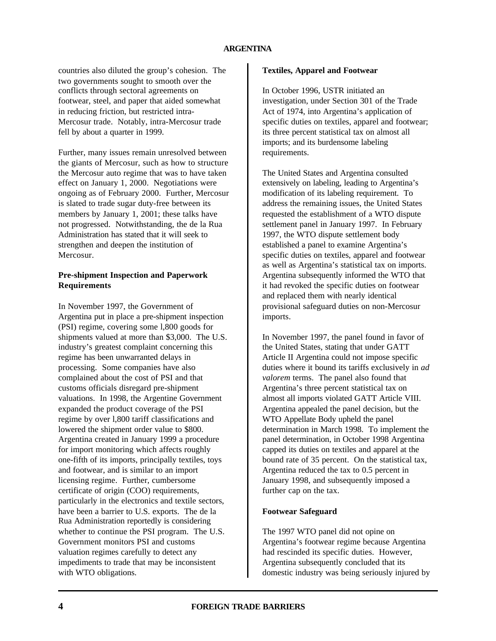## **ARGENTINA**

countries also diluted the group's cohesion. The two governments sought to smooth over the conflicts through sectoral agreements on footwear, steel, and paper that aided somewhat in reducing friction, but restricted intra-Mercosur trade. Notably, intra-Mercosur trade fell by about a quarter in 1999.

Further, many issues remain unresolved between the giants of Mercosur, such as how to structure the Mercosur auto regime that was to have taken effect on January 1, 2000. Negotiations were ongoing as of February 2000. Further, Mercosur is slated to trade sugar duty-free between its members by January 1, 2001; these talks have not progressed. Notwithstanding, the de la Rua Administration has stated that it will seek to strengthen and deepen the institution of Mercosur.

# **Pre-shipment Inspection and Paperwork Requirements**

In November 1997, the Government of Argentina put in place a pre-shipment inspection (PSI) regime, covering some l,800 goods for shipments valued at more than \$3,000. The U.S. industry's greatest complaint concerning this regime has been unwarranted delays in processing. Some companies have also complained about the cost of PSI and that customs officials disregard pre-shipment valuations. In 1998, the Argentine Government expanded the product coverage of the PSI regime by over l,800 tariff classifications and lowered the shipment order value to \$800. Argentina created in January 1999 a procedure for import monitoring which affects roughly one-fifth of its imports, principally textiles, toys and footwear, and is similar to an import licensing regime. Further, cumbersome certificate of origin (COO) requirements, particularly in the electronics and textile sectors, have been a barrier to U.S. exports. The de la Rua Administration reportedly is considering whether to continue the PSI program. The U.S. Government monitors PSI and customs valuation regimes carefully to detect any impediments to trade that may be inconsistent with WTO obligations.

## **Textiles, Apparel and Footwear**

In October 1996, USTR initiated an investigation, under Section 301 of the Trade Act of 1974, into Argentina's application of specific duties on textiles, apparel and footwear; its three percent statistical tax on almost all imports; and its burdensome labeling requirements.

The United States and Argentina consulted extensively on labeling, leading to Argentina's modification of its labeling requirement. To address the remaining issues, the United States requested the establishment of a WTO dispute settlement panel in January 1997. In February 1997, the WTO dispute settlement body established a panel to examine Argentina's specific duties on textiles, apparel and footwear as well as Argentina's statistical tax on imports. Argentina subsequently informed the WTO that it had revoked the specific duties on footwear and replaced them with nearly identical provisional safeguard duties on non-Mercosur imports.

In November 1997, the panel found in favor of the United States, stating that under GATT Article II Argentina could not impose specific duties where it bound its tariffs exclusively in *ad valorem* terms. The panel also found that Argentina's three percent statistical tax on almost all imports violated GATT Article VIII. Argentina appealed the panel decision, but the WTO Appellate Body upheld the panel determination in March 1998. To implement the panel determination, in October 1998 Argentina capped its duties on textiles and apparel at the bound rate of 35 percent. On the statistical tax, Argentina reduced the tax to 0.5 percent in January 1998, and subsequently imposed a further cap on the tax.

#### **Footwear Safeguard**

The 1997 WTO panel did not opine on Argentina's footwear regime because Argentina had rescinded its specific duties. However, Argentina subsequently concluded that its domestic industry was being seriously injured by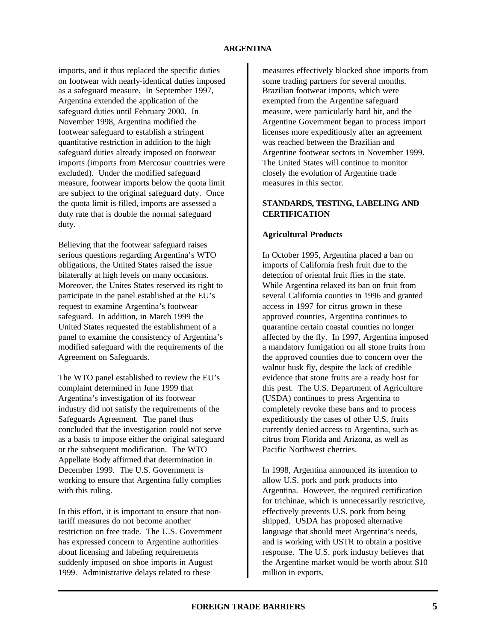imports, and it thus replaced the specific duties on footwear with nearly-identical duties imposed as a safeguard measure. In September 1997, Argentina extended the application of the safeguard duties until February 2000. In November 1998, Argentina modified the footwear safeguard to establish a stringent quantitative restriction in addition to the high safeguard duties already imposed on footwear imports (imports from Mercosur countries were excluded). Under the modified safeguard measure, footwear imports below the quota limit are subject to the original safeguard duty. Once the quota limit is filled, imports are assessed a duty rate that is double the normal safeguard duty.

Believing that the footwear safeguard raises serious questions regarding Argentina's WTO obligations, the United States raised the issue bilaterally at high levels on many occasions. Moreover, the Unites States reserved its right to participate in the panel established at the EU's request to examine Argentina's footwear safeguard. In addition, in March 1999 the United States requested the establishment of a panel to examine the consistency of Argentina's modified safeguard with the requirements of the Agreement on Safeguards.

The WTO panel established to review the EU's complaint determined in June 1999 that Argentina's investigation of its footwear industry did not satisfy the requirements of the Safeguards Agreement. The panel thus concluded that the investigation could not serve as a basis to impose either the original safeguard or the subsequent modification. The WTO Appellate Body affirmed that determination in December 1999. The U.S. Government is working to ensure that Argentina fully complies with this ruling.

In this effort, it is important to ensure that nontariff measures do not become another restriction on free trade. The U.S. Government has expressed concern to Argentine authorities about licensing and labeling requirements suddenly imposed on shoe imports in August 1999. Administrative delays related to these

measures effectively blocked shoe imports from some trading partners for several months. Brazilian footwear imports, which were exempted from the Argentine safeguard measure, were particularly hard hit, and the Argentine Government began to process import licenses more expeditiously after an agreement was reached between the Brazilian and Argentine footwear sectors in November 1999. The United States will continue to monitor closely the evolution of Argentine trade measures in this sector.

# **STANDARDS, TESTING, LABELING AND CERTIFICATION**

# **Agricultural Products**

In October 1995, Argentina placed a ban on imports of California fresh fruit due to the detection of oriental fruit flies in the state. While Argentina relaxed its ban on fruit from several California counties in 1996 and granted access in 1997 for citrus grown in these approved counties, Argentina continues to quarantine certain coastal counties no longer affected by the fly. In 1997, Argentina imposed a mandatory fumigation on all stone fruits from the approved counties due to concern over the walnut husk fly, despite the lack of credible evidence that stone fruits are a ready host for this pest. The U.S. Department of Agriculture (USDA) continues to press Argentina to completely revoke these bans and to process expeditiously the cases of other U.S. fruits currently denied access to Argentina, such as citrus from Florida and Arizona, as well as Pacific Northwest cherries.

In 1998, Argentina announced its intention to allow U.S. pork and pork products into Argentina. However, the required certification for trichinae, which is unnecessarily restrictive, effectively prevents U.S. pork from being shipped. USDA has proposed alternative language that should meet Argentina's needs, and is working with USTR to obtain a positive response. The U.S. pork industry believes that the Argentine market would be worth about \$10 million in exports.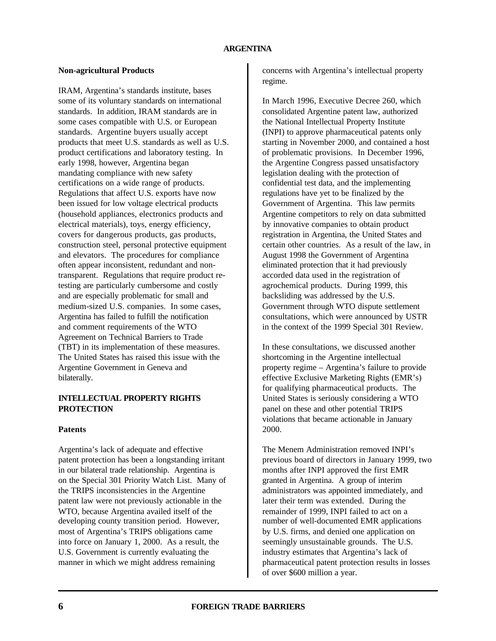# **Non-agricultural Products**

IRAM, Argentina's standards institute, bases some of its voluntary standards on international standards. In addition, IRAM standards are in some cases compatible with U.S. or European standards. Argentine buyers usually accept products that meet U.S. standards as well as U.S. product certifications and laboratory testing. In early 1998, however, Argentina began mandating compliance with new safety certifications on a wide range of products. Regulations that affect U.S. exports have now been issued for low voltage electrical products (household appliances, electronics products and electrical materials), toys, energy efficiency, covers for dangerous products, gas products, construction steel, personal protective equipment and elevators. The procedures for compliance often appear inconsistent, redundant and nontransparent. Regulations that require product retesting are particularly cumbersome and costly and are especially problematic for small and medium-sized U.S. companies. In some cases, Argentina has failed to fulfill the notification and comment requirements of the WTO Agreement on Technical Barriers to Trade (TBT) in its implementation of these measures. The United States has raised this issue with the Argentine Government in Geneva and bilaterally.

# **INTELLECTUAL PROPERTY RIGHTS PROTECTION**

## **Patents**

Argentina's lack of adequate and effective patent protection has been a longstanding irritant in our bilateral trade relationship. Argentina is on the Special 301 Priority Watch List. Many of the TRIPS inconsistencies in the Argentine patent law were not previously actionable in the WTO, because Argentina availed itself of the developing county transition period. However, most of Argentina's TRIPS obligations came into force on January 1, 2000. As a result, the U.S. Government is currently evaluating the manner in which we might address remaining

concerns with Argentina's intellectual property regime.

In March 1996, Executive Decree 260, which consolidated Argentine patent law, authorized the National Intellectual Property Institute (INPI) to approve pharmaceutical patents only starting in November 2000, and contained a host of problematic provisions. In December 1996, the Argentine Congress passed unsatisfactory legislation dealing with the protection of confidential test data, and the implementing regulations have yet to be finalized by the Government of Argentina. This law permits Argentine competitors to rely on data submitted by innovative companies to obtain product registration in Argentina, the United States and certain other countries. As a result of the law, in August 1998 the Government of Argentina eliminated protection that it had previously accorded data used in the registration of agrochemical products. During 1999, this backsliding was addressed by the U.S. Government through WTO dispute settlement consultations, which were announced by USTR in the context of the 1999 Special 301 Review.

In these consultations, we discussed another shortcoming in the Argentine intellectual property regime – Argentina's failure to provide effective Exclusive Marketing Rights (EMR's) for qualifying pharmaceutical products. The United States is seriously considering a WTO panel on these and other potential TRIPS violations that became actionable in January 2000.

The Menem Administration removed INPI's previous board of directors in January 1999, two months after INPI approved the first EMR granted in Argentina. A group of interim administrators was appointed immediately, and later their term was extended. During the remainder of 1999, INPI failed to act on a number of well-documented EMR applications by U.S. firms, and denied one application on seemingly unsustainable grounds. The U.S. industry estimates that Argentina's lack of pharmaceutical patent protection results in losses of over \$600 million a year.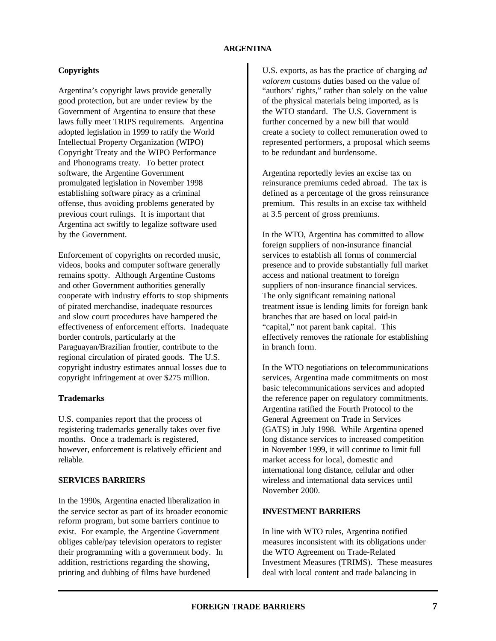# **Copyrights**

Argentina's copyright laws provide generally good protection, but are under review by the Government of Argentina to ensure that these laws fully meet TRIPS requirements. Argentina adopted legislation in 1999 to ratify the World Intellectual Property Organization (WIPO) Copyright Treaty and the WIPO Performance and Phonograms treaty. To better protect software, the Argentine Government promulgated legislation in November 1998 establishing software piracy as a criminal offense, thus avoiding problems generated by previous court rulings. It is important that Argentina act swiftly to legalize software used by the Government.

Enforcement of copyrights on recorded music, videos, books and computer software generally remains spotty. Although Argentine Customs and other Government authorities generally cooperate with industry efforts to stop shipments of pirated merchandise, inadequate resources and slow court procedures have hampered the effectiveness of enforcement efforts. Inadequate border controls, particularly at the Paraguayan/Brazilian frontier, contribute to the regional circulation of pirated goods. The U.S. copyright industry estimates annual losses due to copyright infringement at over \$275 million.

## **Trademarks**

U.S. companies report that the process of registering trademarks generally takes over five months. Once a trademark is registered, however, enforcement is relatively efficient and reliable.

# **SERVICES BARRIERS**

In the 1990s, Argentina enacted liberalization in the service sector as part of its broader economic reform program, but some barriers continue to exist. For example, the Argentine Government obliges cable/pay television operators to register their programming with a government body. In addition, restrictions regarding the showing, printing and dubbing of films have burdened

U.S. exports, as has the practice of charging *ad valorem* customs duties based on the value of "authors' rights," rather than solely on the value of the physical materials being imported, as is the WTO standard. The U.S. Government is further concerned by a new bill that would create a society to collect remuneration owed to represented performers, a proposal which seems to be redundant and burdensome.

Argentina reportedly levies an excise tax on reinsurance premiums ceded abroad. The tax is defined as a percentage of the gross reinsurance premium. This results in an excise tax withheld at 3.5 percent of gross premiums.

In the WTO, Argentina has committed to allow foreign suppliers of non-insurance financial services to establish all forms of commercial presence and to provide substantially full market access and national treatment to foreign suppliers of non-insurance financial services. The only significant remaining national treatment issue is lending limits for foreign bank branches that are based on local paid-in "capital," not parent bank capital. This effectively removes the rationale for establishing in branch form.

In the WTO negotiations on telecommunications services, Argentina made commitments on most basic telecommunications services and adopted the reference paper on regulatory commitments. Argentina ratified the Fourth Protocol to the General Agreement on Trade in Services (GATS) in July 1998. While Argentina opened long distance services to increased competition in November 1999, it will continue to limit full market access for local, domestic and international long distance, cellular and other wireless and international data services until November 2000.

# **INVESTMENT BARRIERS**

In line with WTO rules, Argentina notified measures inconsistent with its obligations under the WTO Agreement on Trade-Related Investment Measures (TRIMS). These measures deal with local content and trade balancing in